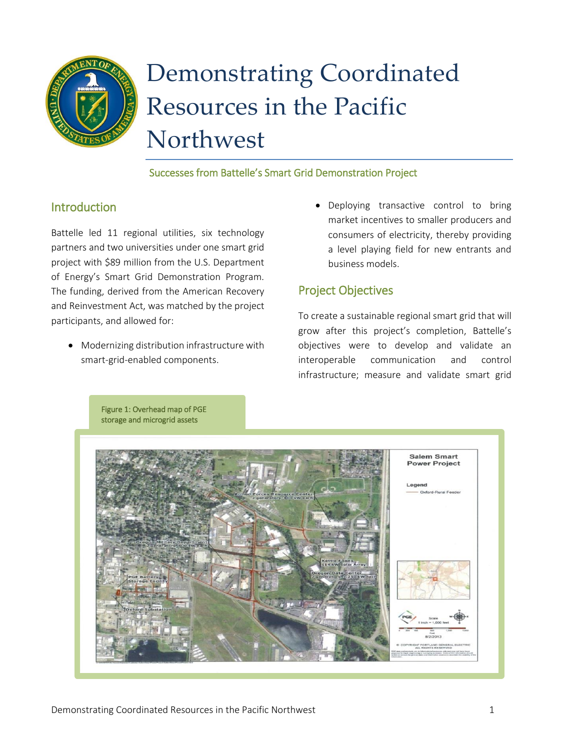

# Demonstrating Coordinated Resources in the Pacific Northwest

Successes from Battelle's Smart Grid Demonstration Project

## Introduction

Battelle led 11 regional utilities, six technology partners and two universities under one smart grid project with \$89 million from the U.S. Department of Energy's Smart Grid Demonstration Program. The funding, derived from the American Recovery and Reinvestment Act, was matched by the project participants, and allowed for:

 Modernizing distribution infrastructure with smart-grid-enabled components.

 Deploying transactive control to bring market incentives to smaller producers and consumers of electricity, thereby providing a level playing field for new entrants and business models.

# Project Objectives

To create a sustainable regional smart grid that will grow after this project's completion, Battelle's objectives were to develop and validate an interoperable communication and control infrastructure; measure and validate smart grid

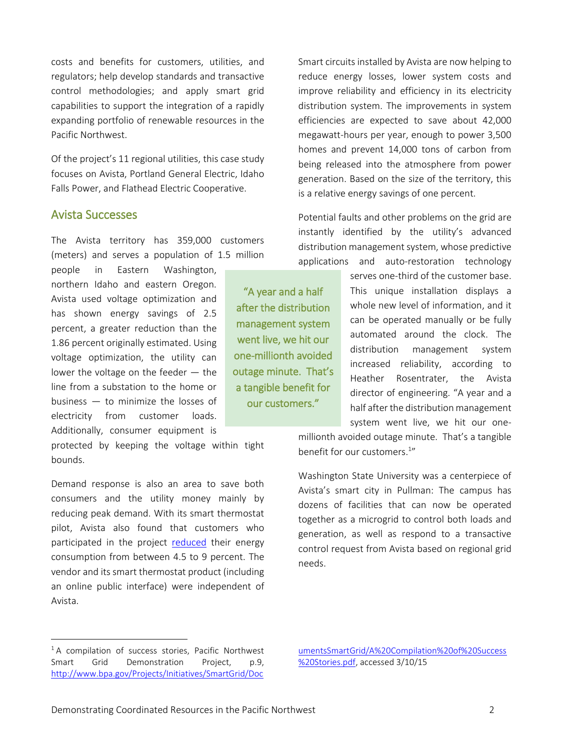costs and benefits for customers, utilities, and regulators; help develop standards and transactive control methodologies; and apply smart grid capabilities to support the integration of a rapidly expanding portfolio of renewable resources in the Pacific Northwest.

Of the project's 11 regional utilities, this case study focuses on Avista, Portland General Electric, Idaho Falls Power, and Flathead Electric Cooperative.

#### Avista Successes

The Avista territory has 359,000 customers (meters) and serves a population of 1.5 million

> "A year and a half after the distribution management system went live, we hit our one-millionth avoided outage minute. That's a tangible benefit for our customers."

people in Eastern Washington, northern Idaho and eastern Oregon. Avista used voltage optimization and has shown energy savings of 2.5 percent, a greater reduction than the 1.86 percent originally estimated. Using voltage optimization, the utility can lower the voltage on the feeder  $-$  the line from a substation to the home or business — to minimize the losses of electricity from customer loads. Additionally, consumer equipment is

protected by keeping the voltage within tight bounds.

Demand response is also an area to save both consumers and the utility money mainly by reducing peak demand. With its smart thermostat pilot, Avista also found that customers who participated in the project [reduced](http://www05.abb.com/global/scot/scot221.nsf/veritydisplay/fdc9a9c9f1c9cebac1257da900519b18/$file/Avista-at-the-forefront-of-smart-grids.pdf) their energy consumption from between 4.5 to 9 percent. The vendor and its smart thermostat product (including an online public interface) were independent of Avista.

Smart circuits installed by Avista are now helping to reduce energy losses, lower system costs and improve reliability and efficiency in its electricity distribution system. The improvements in system efficiencies are expected to save about 42,000 megawatt-hours per year, enough to power 3,500 homes and prevent 14,000 tons of carbon from being released into the atmosphere from power generation. Based on the size of the territory, this is a relative energy savings of one percent.

Potential faults and other problems on the grid are instantly identified by the utility's advanced distribution management system, whose predictive applications and auto-restoration technology

> serves one-third of the customer base. This unique installation displays a whole new level of information, and it can be operated manually or be fully automated around the clock. The distribution management system increased reliability, according to Heather Rosentrater, the Avista director of engineering. "A year and a half after the distribution management system went live, we hit our one-

millionth avoided outage minute. That's a tangible benefit for our customers.<sup>1"</sup>

Washington State University was a centerpiece of Avista's smart city in Pullman: The campus has dozens of facilities that can now be operated together as a microgrid to control both loads and generation, as well as respond to a transactive control request from Avista based on regional grid needs.

 $\overline{a}$ 

[umentsSmartGrid/A%20Compilation%20of%20Success](http://www.bpa.gov/Projects/Initiatives/SmartGrid/DocumentsSmartGrid/A%20Compilation%20of%20Success%20Stories.pdf) [%20Stories.pdf,](http://www.bpa.gov/Projects/Initiatives/SmartGrid/DocumentsSmartGrid/A%20Compilation%20of%20Success%20Stories.pdf) accessed 3/10/15

<sup>&</sup>lt;sup>1</sup>A compilation of success stories, Pacific Northwest Smart Grid Demonstration Project, p.9, [http://www.bpa.gov/Projects/Initiatives/SmartGrid/Doc](http://www.bpa.gov/Projects/Initiatives/SmartGrid/DocumentsSmartGrid/A%20Compilation%20of%20Success%20Stories.pdf)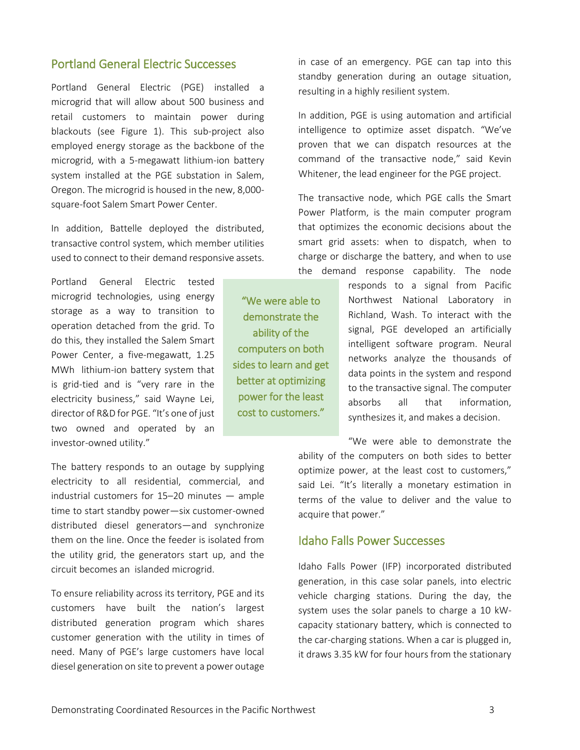## Portland General Electric Successes

Portland General Electric (PGE) installed a microgrid that will allow about 500 business and retail customers to maintain power during blackouts (see Figure 1). This sub-project also employed energy storage as the backbone of the microgrid, with a 5-megawatt lithium-ion battery system installed at the PGE substation in Salem, Oregon. The microgrid is housed in the new, 8,000 square-foot Salem Smart Power Center.

In addition, Battelle deployed the distributed, transactive control system, which member utilities used to connect to their demand responsive assets.

> "We were able to demonstrate the ability of the computers on both sides to learn and get better at optimizing power for the least cost to customers."

Portland General Electric tested microgrid technologies, using energy storage as a way to transition to operation detached from the grid. To do this, they installed the Salem Smart Power Center, a five-megawatt, 1.25 MWh lithium-ion battery system that is grid-tied and is "very rare in the electricity business," said Wayne Lei, director of R&D for PGE. "It's one of just two owned and operated by an investor-owned utility."

The battery responds to an outage by supplying electricity to all residential, commercial, and industrial customers for 15–20 minutes — ample time to start standby power—six customer-owned distributed diesel generators—and synchronize them on the line. Once the feeder is isolated from the utility grid, the generators start up, and the circuit becomes an islanded microgrid.

To ensure reliability across its territory, PGE and its customers have built the nation's largest distributed generation program which shares customer generation with the utility in times of need. Many of PGE's large customers have local diesel generation on site to prevent a power outage

in case of an emergency. PGE can tap into this standby generation during an outage situation, resulting in a highly resilient system.

In addition, PGE is using automation and artificial intelligence to optimize asset dispatch. "We've proven that we can dispatch resources at the command of the transactive node," said Kevin Whitener, the lead engineer for the PGE project.

The transactive node, which PGE calls the Smart Power Platform, is the main computer program that optimizes the economic decisions about the smart grid assets: when to dispatch, when to charge or discharge the battery, and when to use the demand response capability. The node

> responds to a signal from Pacific Northwest National Laboratory in Richland, Wash. To interact with the signal, PGE developed an artificially intelligent software program. Neural networks analyze the thousands of data points in the system and respond to the transactive signal. The computer absorbs all that information, synthesizes it, and makes a decision.

"We were able to demonstrate the ability of the computers on both sides to better optimize power, at the least cost to customers," said Lei. "It's literally a monetary estimation in terms of the value to deliver and the value to acquire that power."

### Idaho Falls Power Successes

Idaho Falls Power (IFP) incorporated distributed generation, in this case solar panels, into electric vehicle charging stations. During the day, the system uses the solar panels to charge a 10 kWcapacity stationary battery, which is connected to the car-charging stations. When a car is plugged in, it draws 3.35 kW for four hours from the stationary